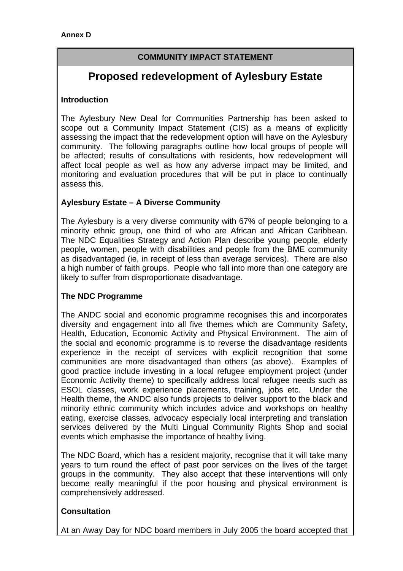## **COMMUNITY IMPACT STATEMENT**

# **Proposed redevelopment of Aylesbury Estate**

#### **Introduction**

The Aylesbury New Deal for Communities Partnership has been asked to scope out a Community Impact Statement (CIS) as a means of explicitly assessing the impact that the redevelopment option will have on the Aylesbury community. The following paragraphs outline how local groups of people will be affected; results of consultations with residents, how redevelopment will affect local people as well as how any adverse impact may be limited, and monitoring and evaluation procedures that will be put in place to continually assess this.

## **Aylesbury Estate – A Diverse Community**

The Aylesbury is a very diverse community with 67% of people belonging to a minority ethnic group, one third of who are African and African Caribbean. The NDC Equalities Strategy and Action Plan describe young people, elderly people, women, people with disabilities and people from the BME community as disadvantaged (ie, in receipt of less than average services). There are also a high number of faith groups. People who fall into more than one category are likely to suffer from disproportionate disadvantage.

## **The NDC Programme**

The ANDC social and economic programme recognises this and incorporates diversity and engagement into all five themes which are Community Safety, Health, Education, Economic Activity and Physical Environment. The aim of the social and economic programme is to reverse the disadvantage residents experience in the receipt of services with explicit recognition that some communities are more disadvantaged than others (as above). Examples of good practice include investing in a local refugee employment project (under Economic Activity theme) to specifically address local refugee needs such as ESOL classes, work experience placements, training, jobs etc. Under the Health theme, the ANDC also funds projects to deliver support to the black and minority ethnic community which includes advice and workshops on healthy eating, exercise classes, advocacy especially local interpreting and translation services delivered by the Multi Lingual Community Rights Shop and social events which emphasise the importance of healthy living.

The NDC Board, which has a resident majority, recognise that it will take many years to turn round the effect of past poor services on the lives of the target groups in the community. They also accept that these interventions will only become really meaningful if the poor housing and physical environment is comprehensively addressed.

## **Consultation**

At an Away Day for NDC board members in July 2005 the board accepted that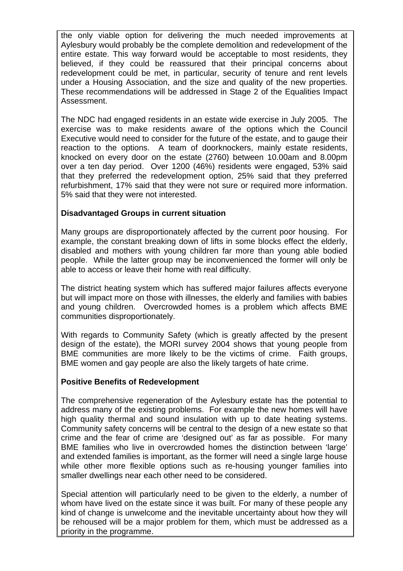the only viable option for delivering the much needed improvements at Aylesbury would probably be the complete demolition and redevelopment of the entire estate. This way forward would be acceptable to most residents, they believed, if they could be reassured that their principal concerns about redevelopment could be met, in particular, security of tenure and rent levels under a Housing Association, and the size and quality of the new properties. These recommendations will be addressed in Stage 2 of the Equalities Impact Assessment.

The NDC had engaged residents in an estate wide exercise in July 2005. The exercise was to make residents aware of the options which the Council Executive would need to consider for the future of the estate, and to gauge their reaction to the options. A team of doorknockers, mainly estate residents, knocked on every door on the estate (2760) between 10.00am and 8.00pm over a ten day period. Over 1200 (46%) residents were engaged, 53% said that they preferred the redevelopment option, 25% said that they preferred refurbishment, 17% said that they were not sure or required more information. 5% said that they were not interested.

## **Disadvantaged Groups in current situation**

Many groups are disproportionately affected by the current poor housing. For example, the constant breaking down of lifts in some blocks effect the elderly, disabled and mothers with young children far more than young able bodied people. While the latter group may be inconvenienced the former will only be able to access or leave their home with real difficulty.

The district heating system which has suffered major failures affects everyone but will impact more on those with illnesses, the elderly and families with babies and young children. Overcrowded homes is a problem which affects BME communities disproportionately.

With regards to Community Safety (which is greatly affected by the present design of the estate), the MORI survey 2004 shows that young people from BME communities are more likely to be the victims of crime. Faith groups, BME women and gay people are also the likely targets of hate crime.

## **Positive Benefits of Redevelopment**

The comprehensive regeneration of the Aylesbury estate has the potential to address many of the existing problems. For example the new homes will have high quality thermal and sound insulation with up to date heating systems. Community safety concerns will be central to the design of a new estate so that crime and the fear of crime are 'designed out' as far as possible. For many BME families who live in overcrowded homes the distinction between 'large' and extended families is important, as the former will need a single large house while other more flexible options such as re-housing younger families into smaller dwellings near each other need to be considered.

Special attention will particularly need to be given to the elderly, a number of whom have lived on the estate since it was built. For many of these people any kind of change is unwelcome and the inevitable uncertainty about how they will be rehoused will be a major problem for them, which must be addressed as a priority in the programme.